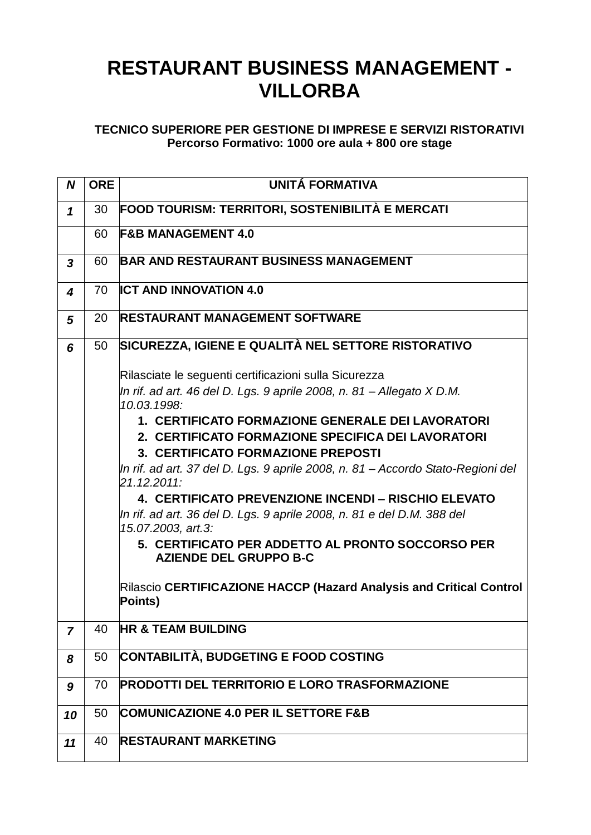## **RESTAURANT BUSINESS MANAGEMENT - VILLORBA**

## **TECNICO SUPERIORE PER GESTIONE DI IMPRESE E SERVIZI RISTORATIVI Percorso Formativo: 1000 ore aula + 800 ore stage**

| N                       | <b>ORE</b> | UNITÁ FORMATIVA                                                                                |
|-------------------------|------------|------------------------------------------------------------------------------------------------|
| 1                       | 30         | <b>FOOD TOURISM: TERRITORI, SOSTENIBILITÀ E MERCATI</b>                                        |
|                         | 60         | <b>F&amp;B MANAGEMENT 4.0</b>                                                                  |
| $\overline{\mathbf{3}}$ | 60         | <b>BAR AND RESTAURANT BUSINESS MANAGEMENT</b>                                                  |
| 4                       | 70         | <b>ICT AND INNOVATION 4.0</b>                                                                  |
| 5                       | 20         | <b>RESTAURANT MANAGEMENT SOFTWARE</b>                                                          |
| 6                       | 50         | SICUREZZA, IGIENE E QUALITÀ NEL SETTORE RISTORATIVO                                            |
|                         |            | Rilasciate le seguenti certificazioni sulla Sicurezza                                          |
|                         |            | In rif. ad art. 46 del D. Lgs. 9 aprile 2008, n. 81 – Allegato X D.M.<br>10.03.1998:           |
|                         |            | 1. CERTIFICATO FORMAZIONE GENERALE DEI LAVORATORI                                              |
|                         |            | 2. CERTIFICATO FORMAZIONE SPECIFICA DEI LAVORATORI                                             |
|                         |            | 3. CERTIFICATO FORMAZIONE PREPOSTI                                                             |
|                         |            | In rif. ad art. 37 del D. Lgs. 9 aprile 2008, n. 81 – Accordo Stato-Regioni del<br>21.12.2011: |
|                         |            | 4. CERTIFICATO PREVENZIONE INCENDI - RISCHIO ELEVATO                                           |
|                         |            | In rif. ad art. 36 del D. Lgs. 9 aprile 2008, n. 81 e del D.M. 388 del<br>15.07.2003, art.3:   |
|                         |            | 5. CERTIFICATO PER ADDETTO AL PRONTO SOCCORSO PER<br><b>AZIENDE DEL GRUPPO B-C</b>             |
|                         |            | Rilascio CERTIFICAZIONE HACCP (Hazard Analysis and Critical Control<br>Points)                 |
| $\overline{7}$          | 40         | <b>HR &amp; TEAM BUILDING</b>                                                                  |
| 8                       | 50         | <b>CONTABILITÀ, BUDGETING E FOOD COSTING</b>                                                   |
| 9                       | 70         | <b>PRODOTTI DEL TERRITORIO E LORO TRASFORMAZIONE</b>                                           |
| 10                      | 50         | <b>COMUNICAZIONE 4.0 PER IL SETTORE F&amp;B</b>                                                |
| 11                      | 40         | <b>RESTAURANT MARKETING</b>                                                                    |